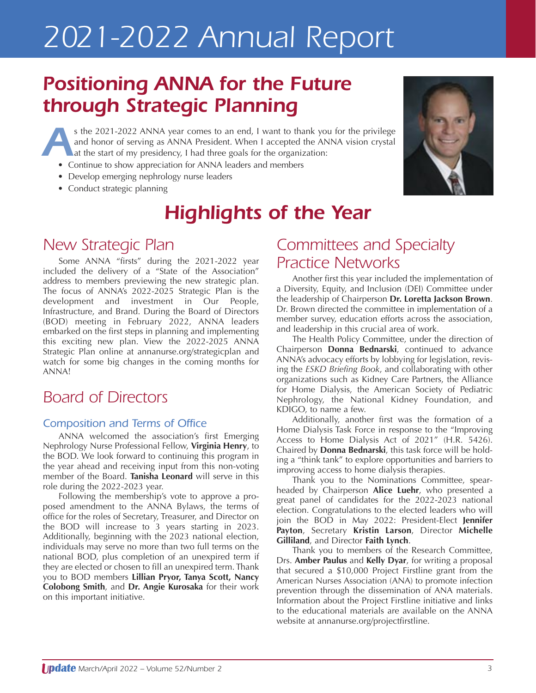# *2021-2022 Annual Report*

## *Positioning ANNA for the Future through Strategic Planning*

**As the 2021-2022 ANNA year comes to an end, I want to thank you for the privilege and honor of serving as ANNA President. When I accepted the ANNA vision crystal at the start of my presidency, I had three goals for the or** and honor of serving as ANNA President. When I accepted the ANNA vision crystal at the start of my presidency, I had three goals for the organization:

- Continue to show appreciation for ANNA leaders and members
- Develop emerging nephrology nurse leaders
- Conduct strategic planning

## *Highlights of the Year*

#### *New Strategic Plan*

Some ANNA "firsts" during the 2021-2022 year included the delivery of a "State of the Association" address to members previewing the new strategic plan. The focus of ANNA's 2022-2025 Strategic Plan is the development and investment in Our People, Infrastructure, and Brand. During the Board of Directors (BOD) meeting in February 2022, ANNA leaders embarked on the first steps in planning and implementing this exciting new plan. View the 2022-2025 ANNA Strategic Plan online at [annanurse.org/strategicplan](http://annanurse.org/strategicplan) and watch for some big changes in the coming months for ANNA!

#### *Board of Directors*

#### *Composition and Terms of Office*

ANNA welcomed the association's first Emerging Nephrology Nurse Professional Fellow, **Virginia Henry**, to the BOD. We look forward to continuing this program in the year ahead and receiving input from this non-voting member of the Board. **Tanisha Leonard** will serve in this role during the 2022-2023 year.

Following the membership's vote to approve a proposed amendment to the ANNA Bylaws, the terms of office for the roles of Secretary, Treasurer, and Director on the BOD will increase to 3 years starting in 2023. Additionally, beginning with the 2023 national election, individuals may serve no more than two full terms on the national BOD, plus completion of an unexpired term if they are elected or chosen to fill an unexpired term. Thank you to BOD members **Lillian Pryor, Tanya Scott, Nancy Colobong Smith**, and **Dr. Angie Kurosaka** for their work on this important initiative.

#### *Committees and Specialty Practice Networks*

Another first this year included the implementation of a Diversity, Equity, and Inclusion (DEI) Committee under the leadership of Chairperson **Dr. Loretta Jackson Brown**. Dr. Brown directed the committee in implementation of a member survey, education efforts across the association, and leadership in this crucial area of work.

The Health Policy Committee, under the direction of Chairperson **Donna Bednarski**, continued to advance ANNA's advocacy efforts by lobbying for legislation, revising the *ESKD Briefing Book*, and collaborating with other organizations such as Kidney Care Partners, the Alliance for Home Dialysis, the American Society of Pediatric Nephrology, the National Kidney Foundation, and KDIGO, to name a few.

Additionally, another first was the formation of a Home Dialysis Task Force in response to the "Improving Access to Home Dialysis Act of 2021" (H.R. 5426). Chaired by **Donna Bednarski**, this task force will be holding a "think tank" to explore opportunities and barriers to improving access to home dialysis therapies.

Thank you to the Nominations Committee, spearheaded by Chairperson **Alice Luehr**, who presented a great panel of candidates for the 2022-2023 national election. Congratulations to the elected leaders who will join the BOD in May 2022: President-Elect **Jennifer Payton**, Secretary **Kristin Larson**, Director **Michelle Gilliland**, and Director **Faith Lynch**.

Thank you to members of the Research Committee, Drs. **Amber Paulus** and **Kelly Dyar**, for writing a proposal that secured a \$10,000 Project Firstline grant from the American Nurses Association (ANA) to promote infection prevention through the dissemination of ANA materials. Information about the Project Firstline initiative and links to the educational materials are available on the ANNA website at [annanurse.org/projectfirstline.](http://annanurse.org/projectfirstline)

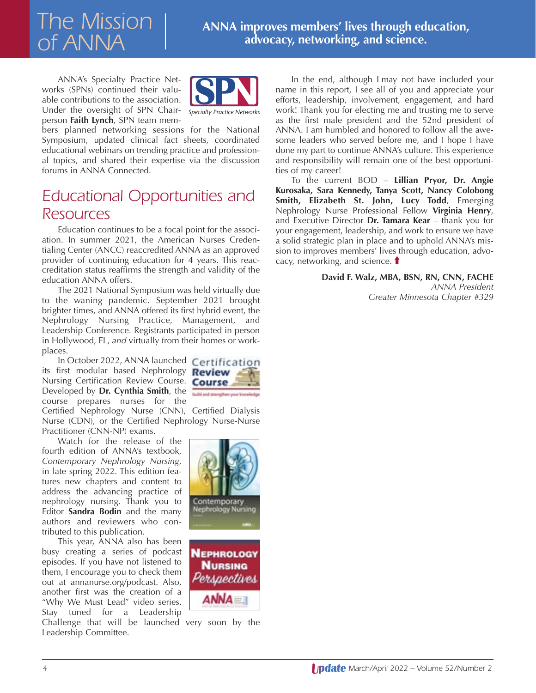ANNA's Specialty Practice Networks (SPNs) continued their valuable contributions to the association. Under the oversight of SPN Chairperson **Faith Lynch**, SPN team mem-



bers planned networking sessions for the National Symposium, updated clinical fact sheets, coordinated educational webinars on trending practice and professional topics, and shared their expertise via the discussion forums in ANNA Connected.

#### *Educational Opportunities and Resources*

Education continues to be a focal point for the association. In summer 2021, the American Nurses Credentialing Center (ANCC) reaccredited ANNA as an approved provider of continuing education for 4 years. This reaccreditation status reaffirms the strength and validity of the education ANNA offers.

The 2021 National Symposium was held virtually due to the waning pandemic. September 2021 brought brighter times, and ANNA offered its first hybrid event, the Nephrology Nursing Practice, Management, and Leadership Conference. Registrants participated in person in Hollywood, FL, *and* virtually from their homes or workplaces.

In October 2022, ANNA launched Certification its first modular based Nephrology Review Nursing Certification Review Course. Course Developed by **Dr. Cynthia Smith**, the course prepares nurses for the Certified Nephrology Nurse (CNN), Certified Dialysis Nurse (CDN), or the Certified Nephrology Nurse-Nurse

Practitioner (CNN-NP) exams. Watch for the release of the fourth edition of ANNA's textbook, *Contemporary Nephrology Nursing*, in late spring 2022. This edition features new chapters and content to address the advancing practice of nephrology nursing. Thank you to Editor **Sandra Bodin** and the many authors and reviewers who contributed to this publication.

This year, ANNA also has been busy creating a series of podcast episodes. If you have not listened to them, I encourage you to check them out at [annanurse.org/podcast.](http://annanurse.org/podcast) Also, another first was the creation of a "Why We Must Lead" video series. Stay tuned for a Leadership Challenge that will be launched very soon by the Leadership Committee.



In the end, although I may not have included your name in this report, I see all of you and appreciate your efforts, leadership, involvement, engagement, and hard work! Thank you for electing me and trusting me to serve as the first male president and the 52nd president of ANNA. I am humbled and honored to follow all the awesome leaders who served before me, and I hope I have done my part to continue ANNA's culture. This experience and responsibility will remain one of the best opportunities of my career!

To the current BOD – **Lillian Pryor, Dr. Angie Kurosaka, Sara Kennedy, Tanya Scott, Nancy Colobong Smith, Elizabeth St. John, Lucy Todd**, Emerging Nephrology Nurse Professional Fellow **Virginia Henry**, and Executive Director **Dr. Tamara Kear** – thank you for your engagement, leadership, and work to ensure we have a solid strategic plan in place and to uphold ANNA's mission to improves members' lives through education, advocacy, networking, and science.

> **David F. Walz, MBA, BSN, RN, CNN, FACHE** *ANNA President Greater Minnesota Chapter #329*



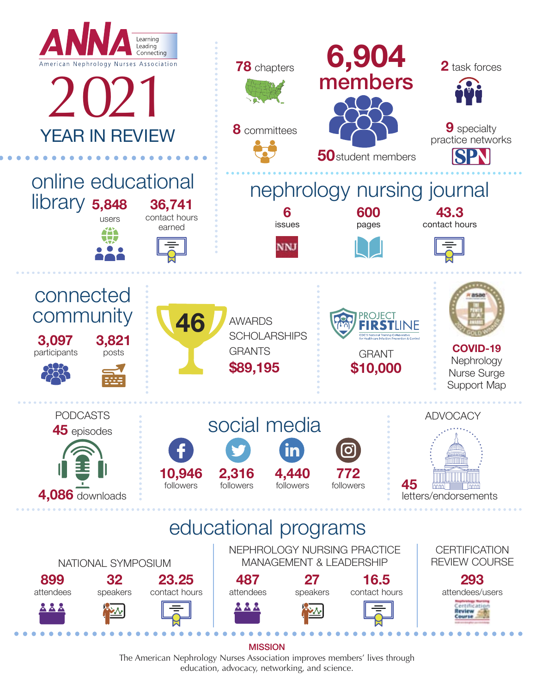

**MISSION**

The American Nephrology Nurses Association improves members' lives through education, advocacy, networking, and science.